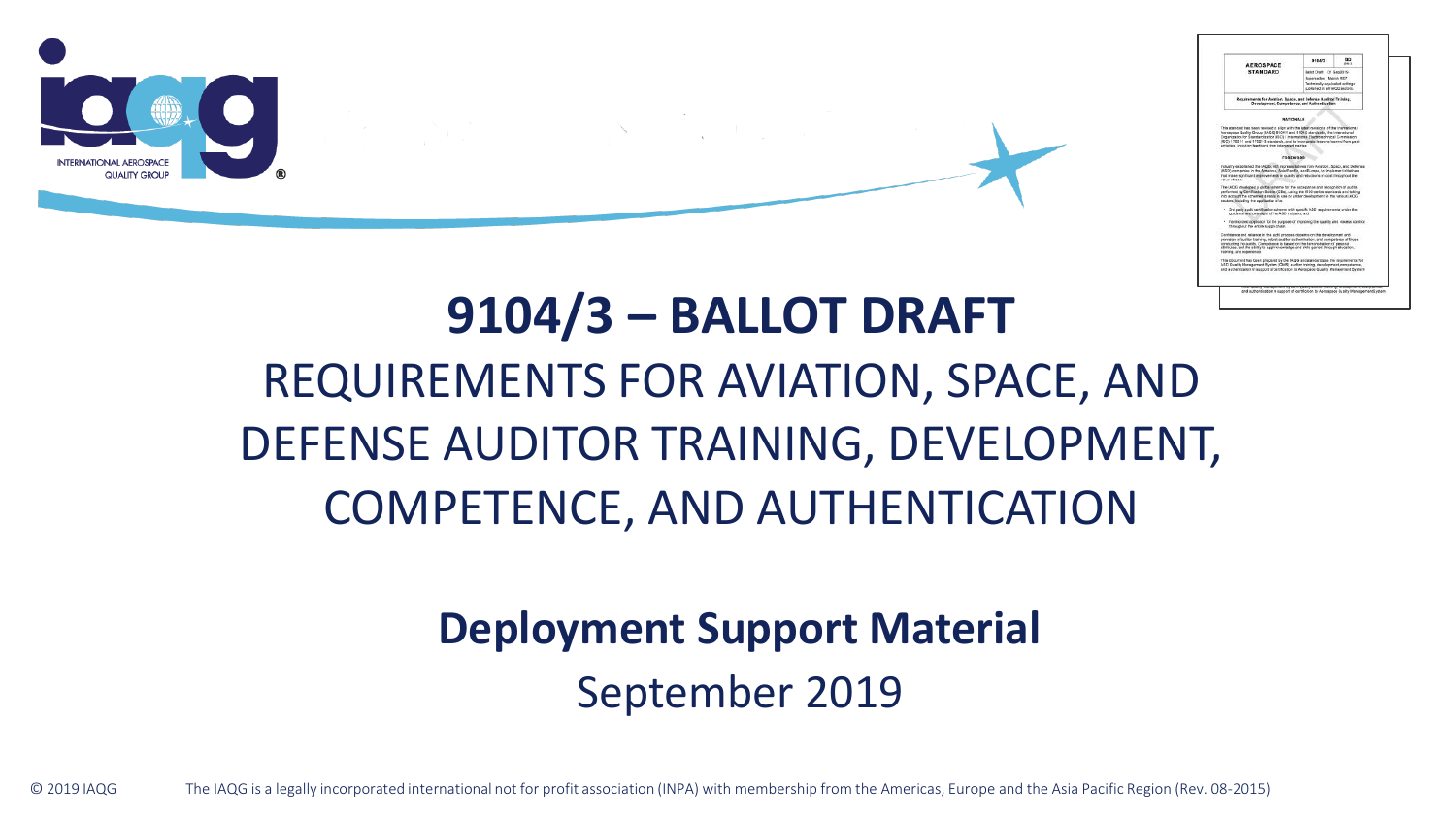

# **9104/3 – BALLOT DRAFT** REQUIREMENTS FOR AVIATION, SPACE, AND DEFENSE AUDITOR TRAINING, DEVELOPMENT, COMPETENCE, AND AUTHENTICATION

**Deployment Support Material** 

September 2019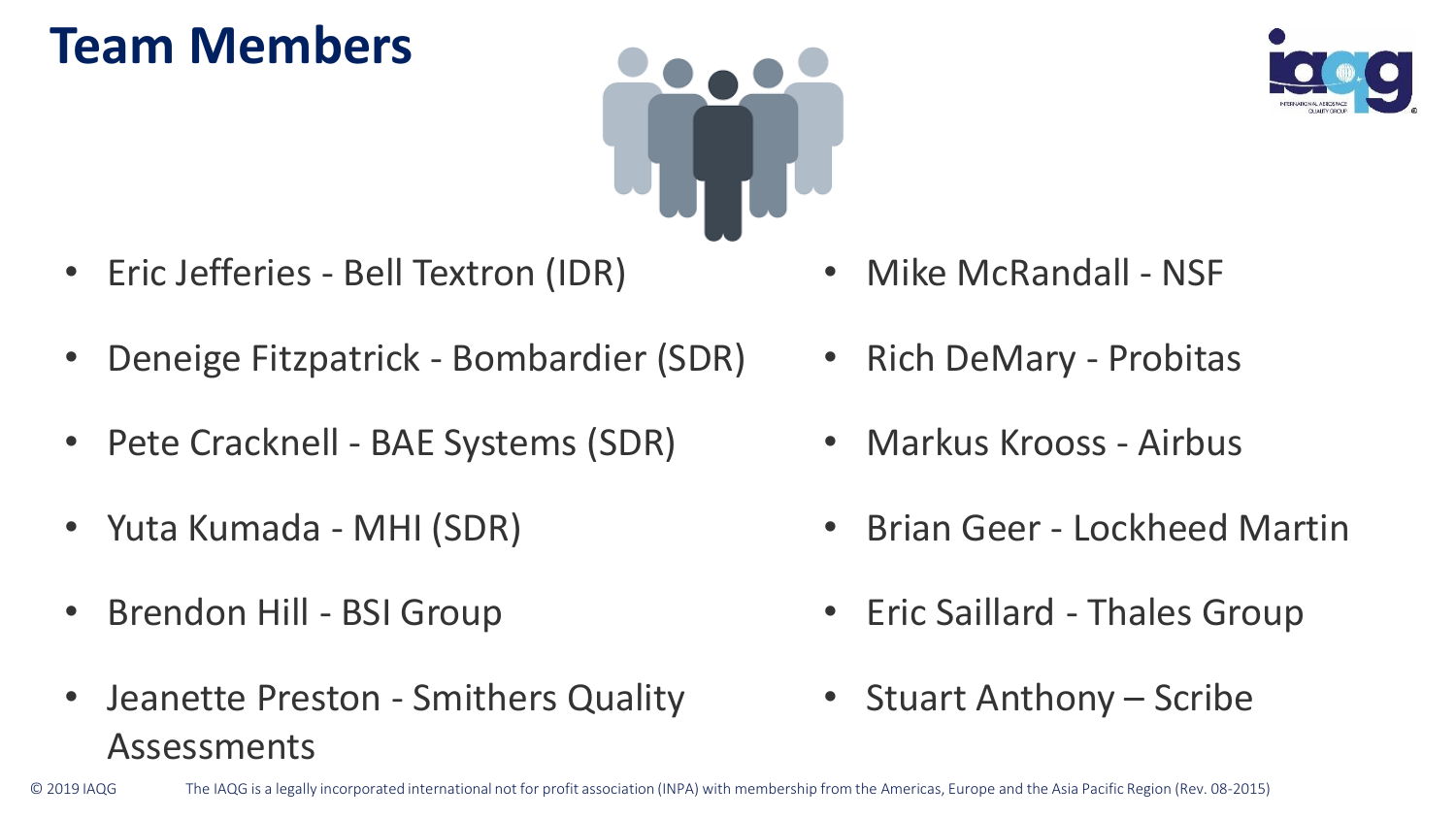### **Team Members**



- Eric Jefferies Bell Textron (IDR)
- Deneige Fitzpatrick Bombardier (SDR)
- Pete Cracknell BAE Systems (SDR)
- Yuta Kumada MHI (SDR)
- Brendon Hill BSI Group
- Jeanette Preston Smithers Quality Assessments
- Mike McRandall NSF
- Rich DeMary Probitas
- Markus Krooss Airbus
- Brian Geer Lockheed Martin
- Eric Saillard Thales Group
- Stuart Anthony Scribe

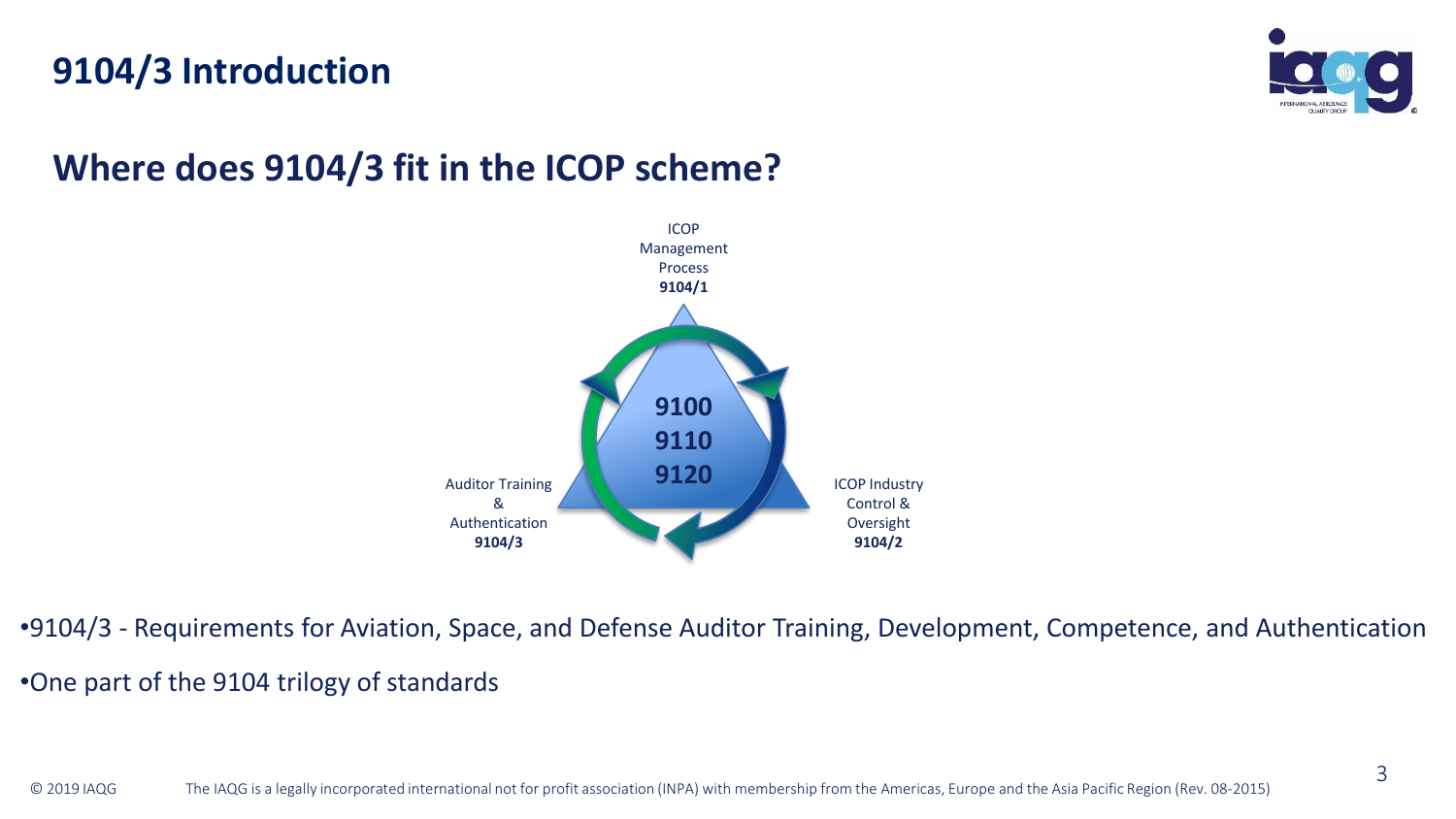### **9104/3 Introduction**



### **Where does 9104/3 fit in the ICOP scheme?**



•9104/3 - Requirements for Aviation, Space, and Defense Auditor Training, Development, Competence, and Authentication •One part of the 9104 trilogy of standards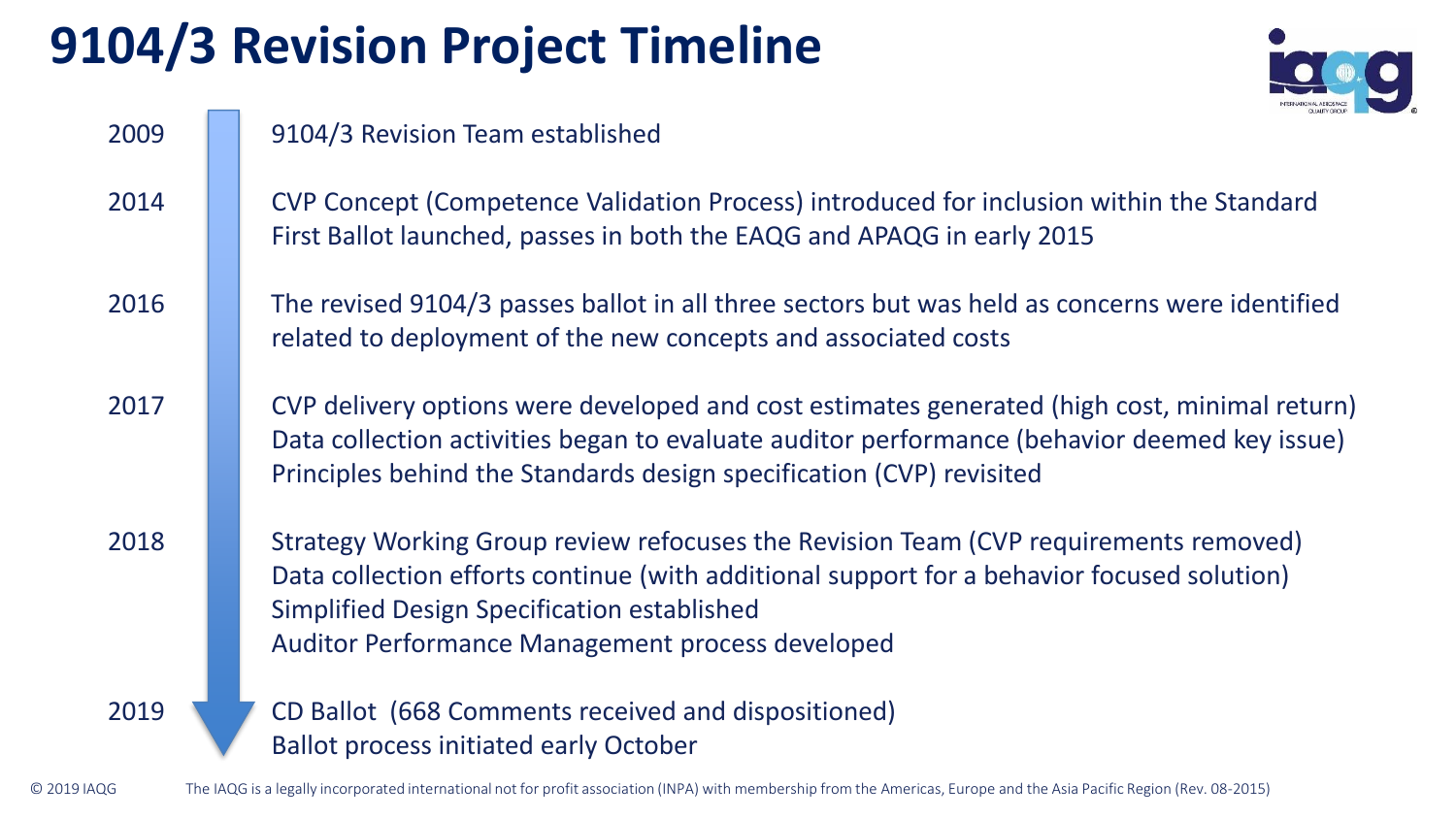# **9104/3 Revision Project Timeline**



| 2009        | 9104/3 Revision Team established                                                                                                                                                                                                                                                      |
|-------------|---------------------------------------------------------------------------------------------------------------------------------------------------------------------------------------------------------------------------------------------------------------------------------------|
| 2014        | CVP Concept (Competence Validation Process) introduced for inclusion within the Standard<br>First Ballot launched, passes in both the EAQG and APAQG in early 2015                                                                                                                    |
| 2016        | The revised 9104/3 passes ballot in all three sectors but was held as concerns were identified<br>related to deployment of the new concepts and associated costs                                                                                                                      |
| 2017        | CVP delivery options were developed and cost estimates generated (high cost, minimal return)<br>Data collection activities began to evaluate auditor performance (behavior deemed key issue)<br>Principles behind the Standards design specification (CVP) revisited                  |
| 2018        | Strategy Working Group review refocuses the Revision Team (CVP requirements removed)<br>Data collection efforts continue (with additional support for a behavior focused solution)<br>Simplified Design Specification established<br>Auditor Performance Management process developed |
| 2019        | CD Ballot (668 Comments received and dispositioned)<br><b>Ballot process initiated early October</b>                                                                                                                                                                                  |
| C 2019 IAQG | The IAQG is a legally incorporated international not for profit association (INPA) with membership from the Americas, Europe and the Asia Pacific Region (Rev. 08-2015)                                                                                                               |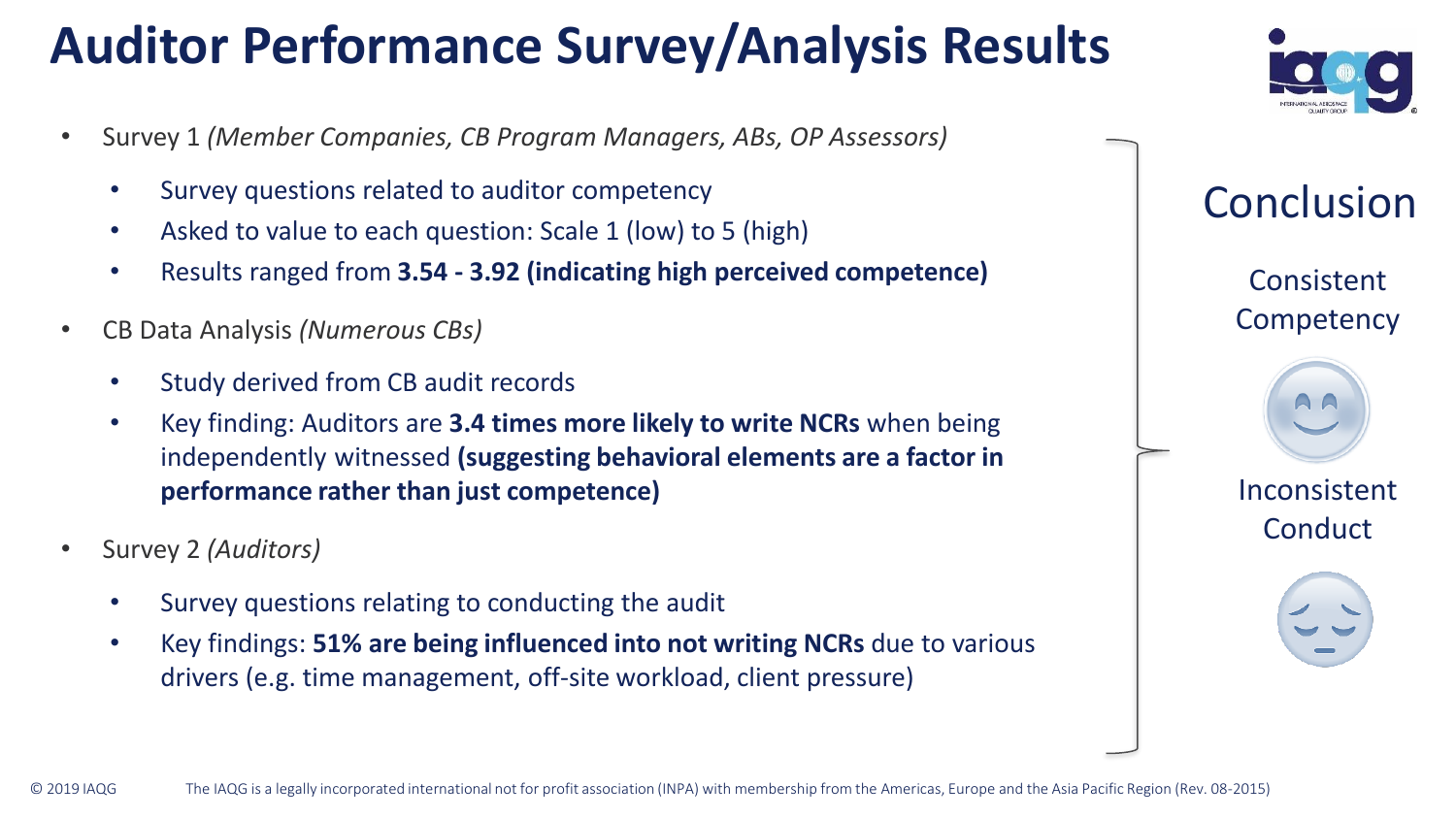# **Auditor Performance Survey/Analysis Results**

- Survey 1 *(Member Companies, CB Program Managers, ABs, OP Assessors)*
	- Survey questions related to auditor competency
	- Asked to value to each question: Scale 1 (low) to 5 (high)
	- Results ranged from **3.54 - 3.92 (indicating high perceived competence)**
- CB Data Analysis *(Numerous CBs)*
	- Study derived from CB audit records
	- Key finding: Auditors are **3.4 times more likely to write NCRs** when being independently witnessed **(suggesting behavioral elements are a factor in performance rather than just competence)**
- Survey 2 *(Auditors)*
	- Survey questions relating to conducting the audit
	- Key findings: **51% are being influenced into not writing NCRs** due to various drivers (e.g. time management, off-site workload, client pressure)



Consistent **Competency** Inconsistent **Conduct** Conclusion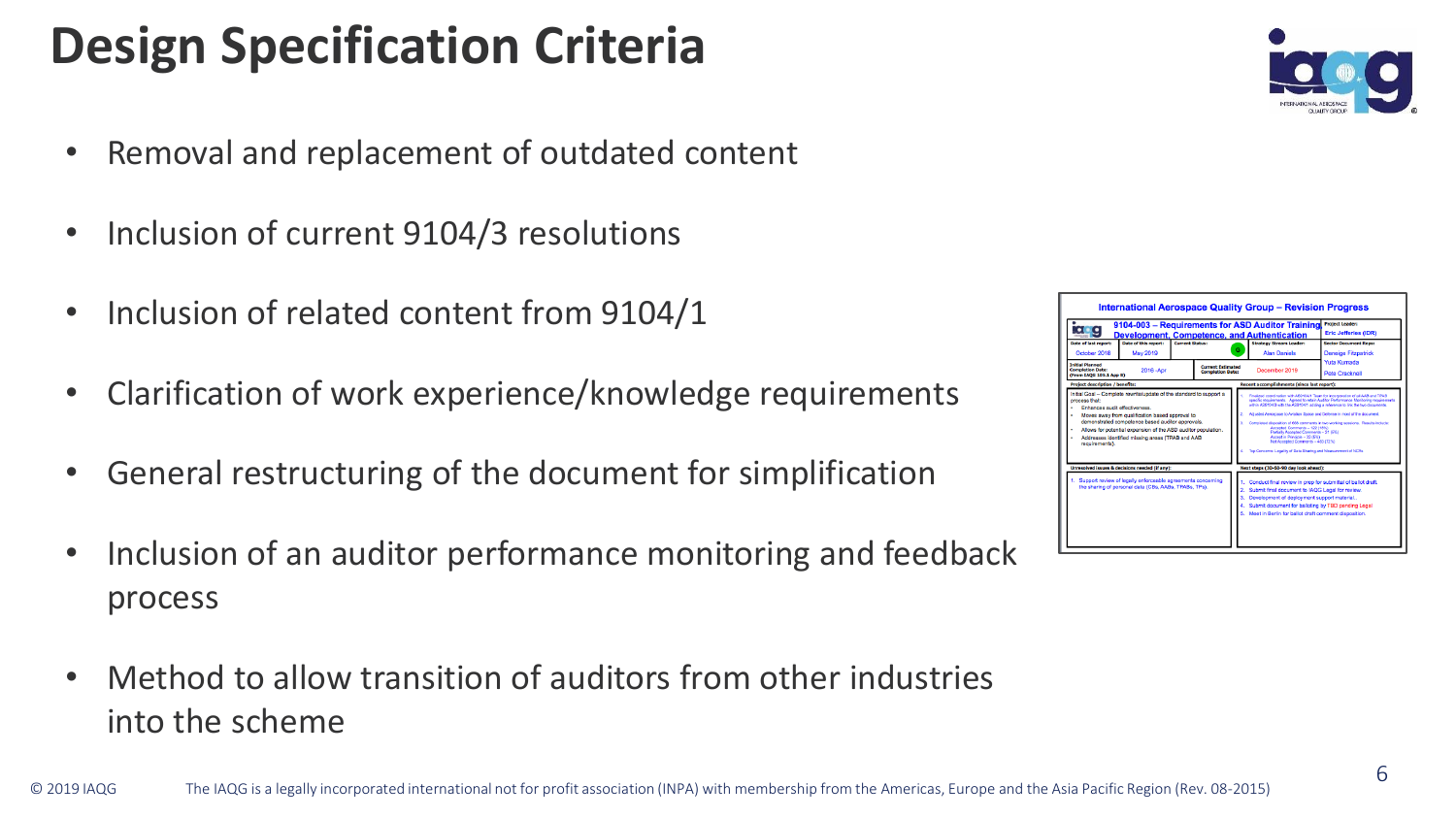# **Design Specification Criteria**

- Removal and replacement of outdated content
- Inclusion of current 9104/3 resolutions
- Inclusion of related content from 9104/1
- Clarification of work experience/knowledge requirements
- General restructuring of the document for simplification
- Inclusion of an auditor performance monitoring and feedback process
- Method to allow transition of auditors from other industries into the scheme



| $\bullet$ $\bullet$<br>Date of last report:<br>October 2018                                                                                                                                                                                                                                                                                                               | Date of this report:<br><b>May 2019</b>                                                                                 | <b>Current Status:</b> | G                                                   | 9104-003 - Requirements for ASD Auditor Training<br><b>Development, Competence, and Authentication</b><br><b>Strategy Stream Leader:</b><br><b>Alan Daniels</b>                                                                                                                                                                                                                                                                                                                                                                                                                                                                                  | <b>Eric Jefferies (IDR)</b><br><b>Sector Document Reps:</b><br><b>Deneige Fitzpatrick</b> |
|---------------------------------------------------------------------------------------------------------------------------------------------------------------------------------------------------------------------------------------------------------------------------------------------------------------------------------------------------------------------------|-------------------------------------------------------------------------------------------------------------------------|------------------------|-----------------------------------------------------|--------------------------------------------------------------------------------------------------------------------------------------------------------------------------------------------------------------------------------------------------------------------------------------------------------------------------------------------------------------------------------------------------------------------------------------------------------------------------------------------------------------------------------------------------------------------------------------------------------------------------------------------------|-------------------------------------------------------------------------------------------|
| <b>Triblet Diamned</b><br><b>Completion Date:</b><br>2016 - Apr<br>(From IAOG 105.1 App B)                                                                                                                                                                                                                                                                                |                                                                                                                         |                        | <b>Corront Following</b><br><b>Completion Date:</b> | December 2019                                                                                                                                                                                                                                                                                                                                                                                                                                                                                                                                                                                                                                    | <b>Yuta Kumada</b><br>Pete Cracknell                                                      |
| <b>Project description / benefits:</b>                                                                                                                                                                                                                                                                                                                                    |                                                                                                                         |                        |                                                     | Recent accomplishments (since last report):                                                                                                                                                                                                                                                                                                                                                                                                                                                                                                                                                                                                      |                                                                                           |
| Initial Goal - Complete rewrite/update of the standard to support a<br>process that:<br><b>Enhances audit effectiveness</b><br>Moves away from qualification based approval to<br>demonstrated competence based auditor approvals.<br>Allows for potential expansion of the ASD auditor population.<br>Addresses identified missing areas (TPAB and AAB<br>requirements). |                                                                                                                         |                        |                                                     | Finalized constitution with ARD1047 Tope for incorporation of all AAR and TRAR<br>specific requirements. Acened to retain Auditor Performance Manitoring requirements.<br>within AR01040 with the AR010411 odding a reference to link the two discussers.<br>Arlusted Aeroseane to Avisting Strate and Defense in most of the decument.<br>Completed disposition of 668 comments in two working sessions. Results include:<br>Annantal Commants - 122 (18%)<br>Partially Associated Commercia - 35 (RN)<br>Accept in Principle - 32 (5%)<br>Not Accepted Comments - 483 (72%)<br>Top Concerns: Legality of Data Sharing and Measurement of NCRs. |                                                                                           |
|                                                                                                                                                                                                                                                                                                                                                                           | Unresolved issues & decisions needed (if any):                                                                          |                        |                                                     | Next steps (30-60-90 day look ahead):                                                                                                                                                                                                                                                                                                                                                                                                                                                                                                                                                                                                            |                                                                                           |
|                                                                                                                                                                                                                                                                                                                                                                           | 1. Support review of legally enforceable agreements concerning<br>the sharing of personal data (CBs, AABs, TPABs, TPs). |                        | a.                                                  | Conduct final review in prep for submittal of ballot draft.<br>Submit final document to IAQG Legal for review.<br>Development of deployment support material<br>Submit document for balloting by TBD pending Legal<br>5. Meet in Berlin for ballot draft comment disposition.                                                                                                                                                                                                                                                                                                                                                                    |                                                                                           |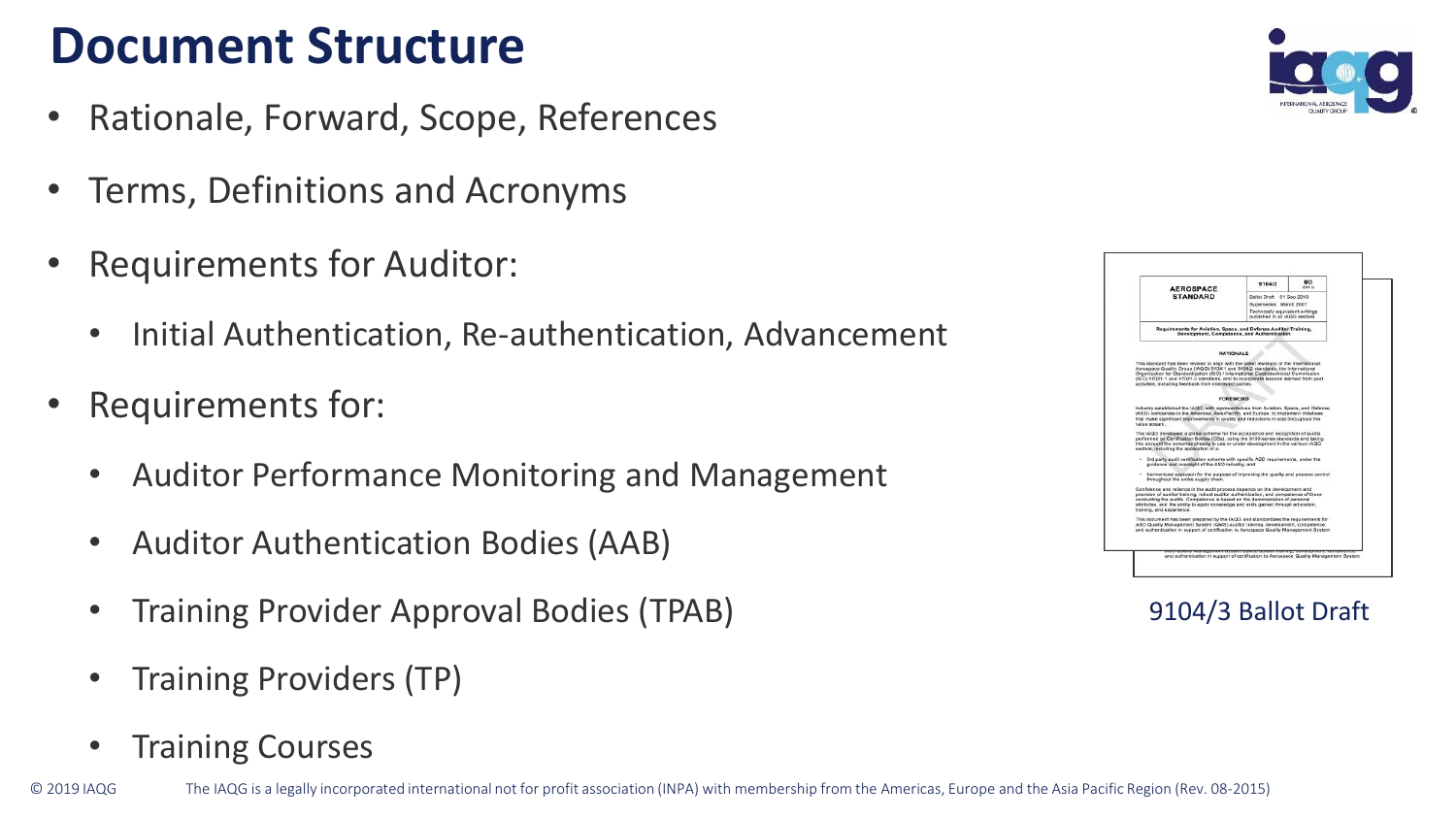### **Document Structure**

- Rationale, Forward, Scope, References
- Terms, Definitions and Acronyms
- Requirements for Auditor:
	- Initial Authentication, Re-authentication, Advancement
- Requirements for:
	- Auditor Performance Monitoring and Management
	- Auditor Authentication Bodies (AAB)
	- Training Provider Approval Bodies (TPAB)
	- Training Providers (TP)
	- Training Courses





9104/3 Ballot Draft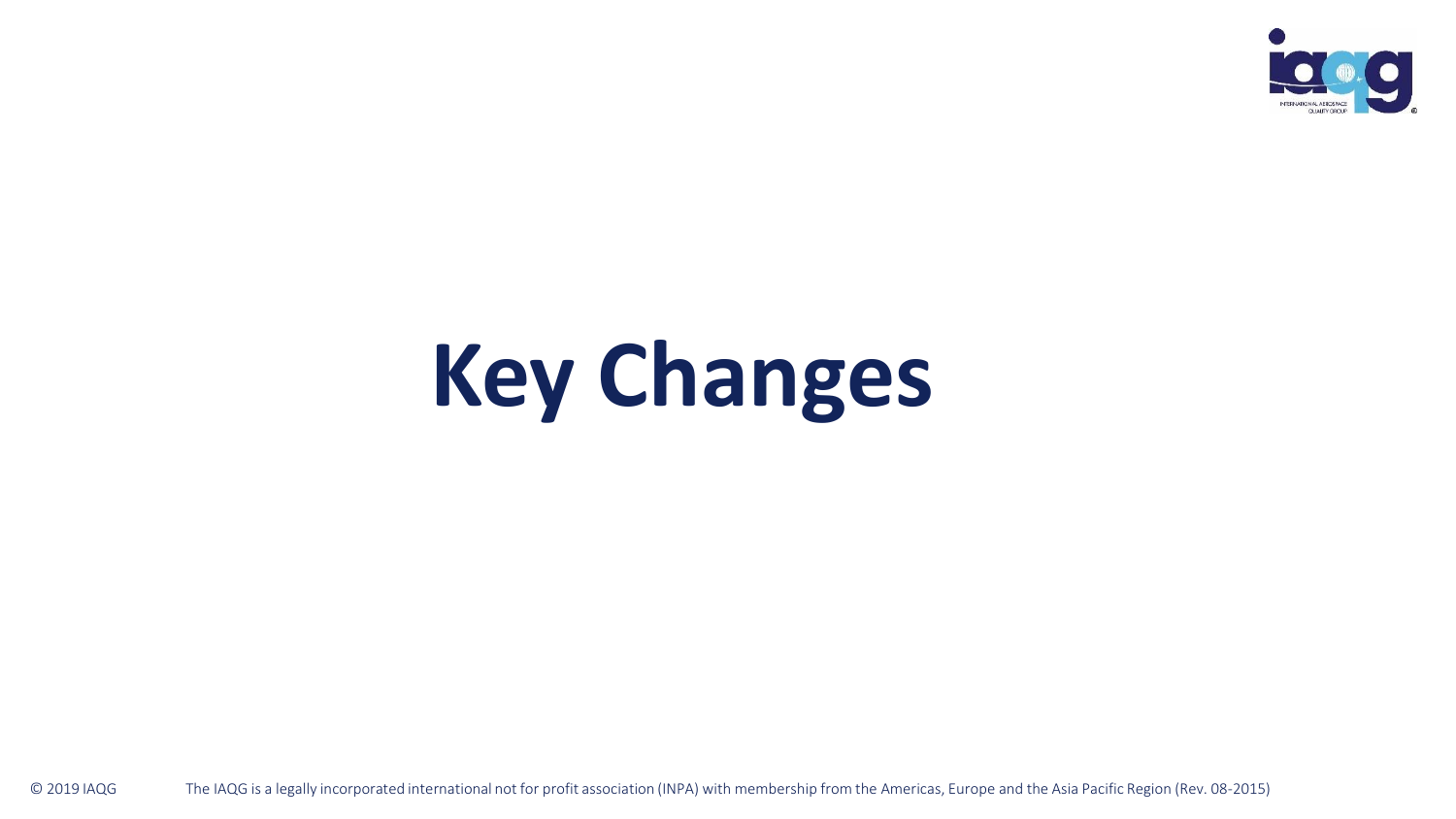

# **Key Changes**

© 2019 IAQG The IAQG is a legally incorporated international not for profit association (INPA) with membership from the Americas, Europe and the Asia Pacific Region (Rev. 08-2015)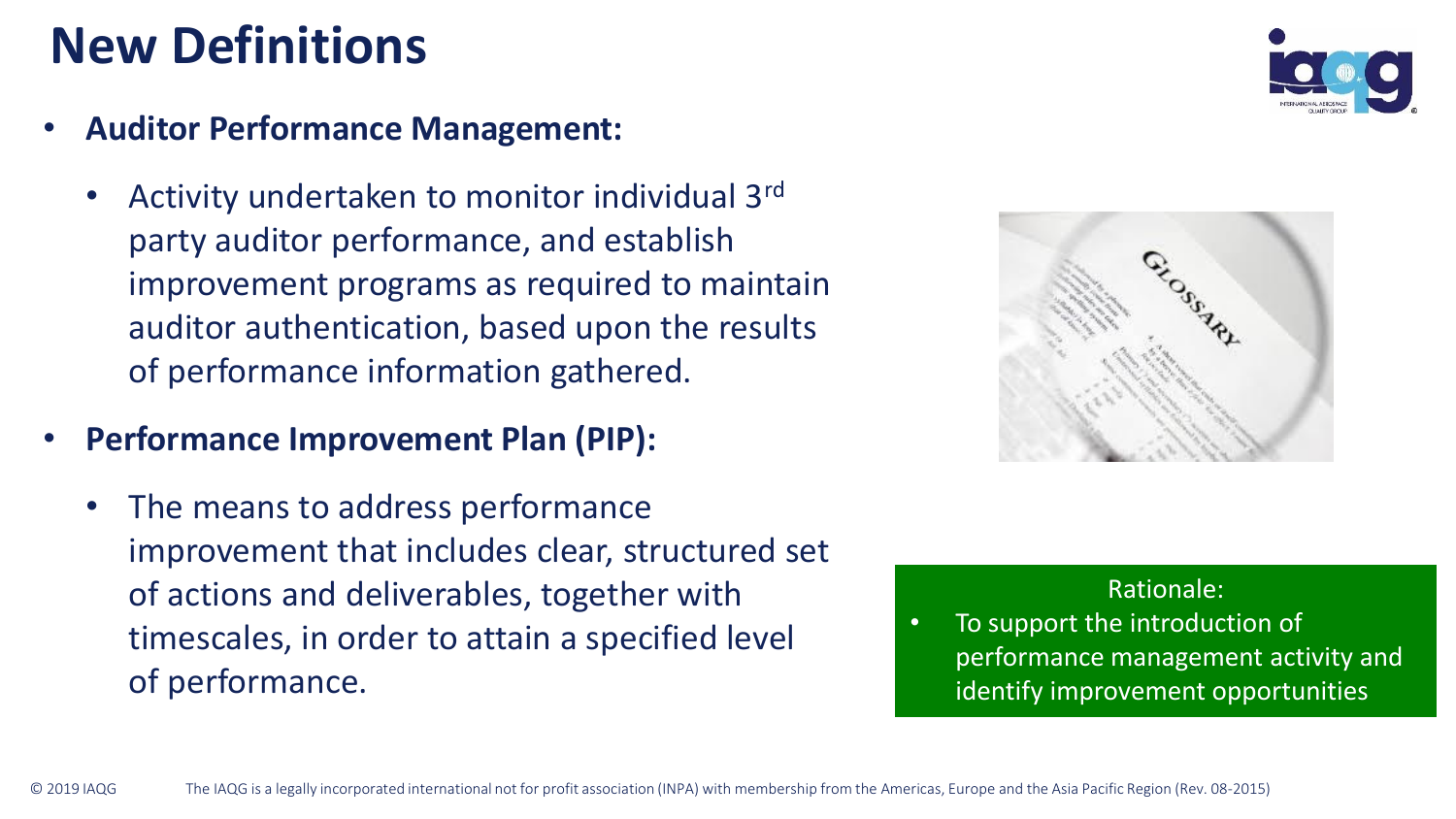### **New Definitions**

- **Auditor Performance Management:**
	- Activity undertaken to monitor individual 3<sup>rd</sup> party auditor performance, and establish improvement programs as required to maintain auditor authentication, based upon the results of performance information gathered.
- **Performance Improvement Plan (PIP):**
	- The means to address performance improvement that includes clear, structured set of actions and deliverables, together with timescales, in order to attain a specified level of performance.





#### Rationale:

To support the introduction of performance management activity and identify improvement opportunities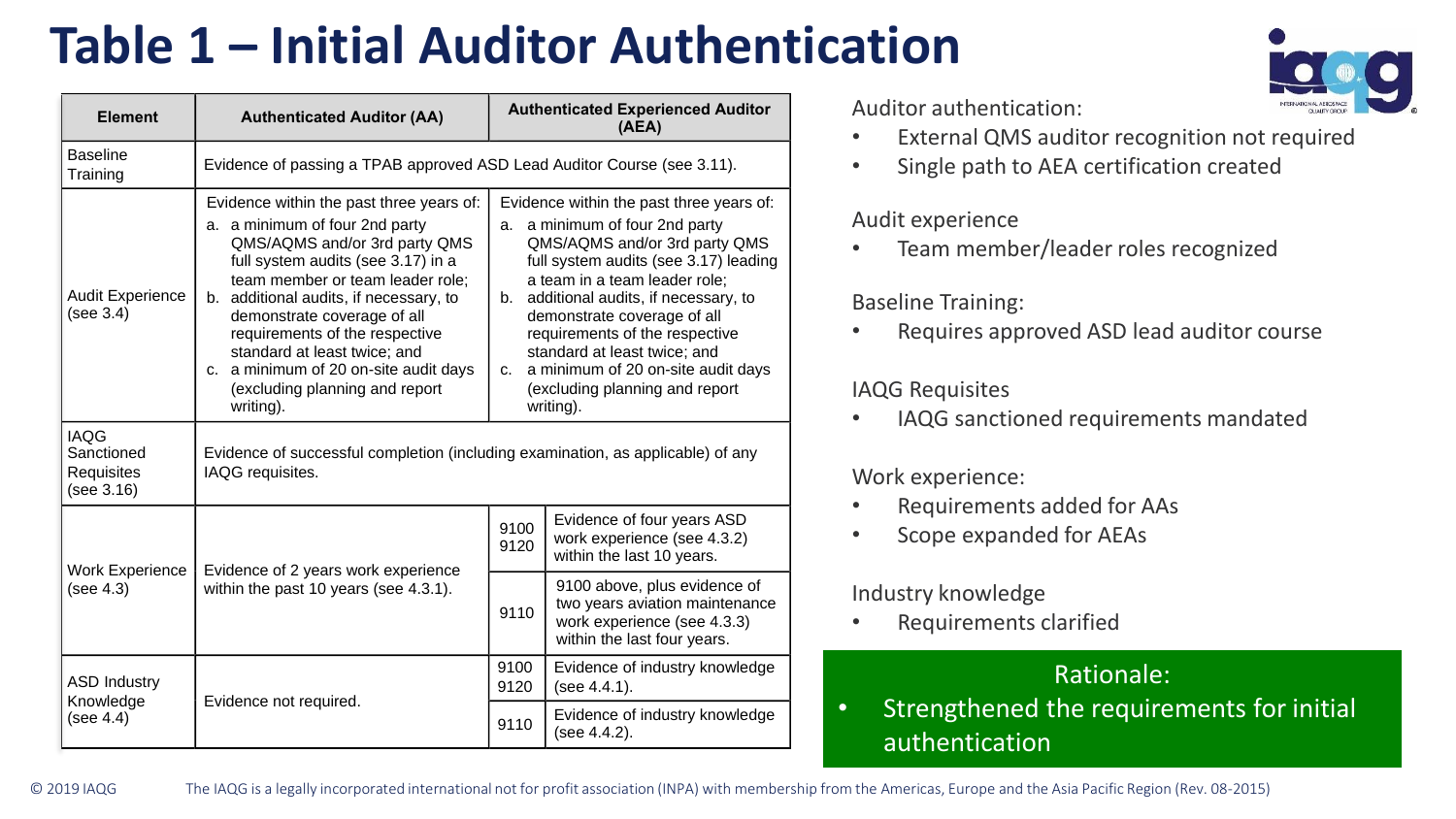# **Table 1 – Initial Auditor Authentication**

| Element                                               | <b>Authenticated Auditor (AA)</b>                                                                                                                                                                                                                                                                                                                                                                                        |              | <b>Authenticated Experienced Auditor</b><br>(AEA)                                                                                                                                                                                                                                                                                                                                                                           |  |  |
|-------------------------------------------------------|--------------------------------------------------------------------------------------------------------------------------------------------------------------------------------------------------------------------------------------------------------------------------------------------------------------------------------------------------------------------------------------------------------------------------|--------------|-----------------------------------------------------------------------------------------------------------------------------------------------------------------------------------------------------------------------------------------------------------------------------------------------------------------------------------------------------------------------------------------------------------------------------|--|--|
| <b>Baseline</b><br>Training                           | Evidence of passing a TPAB approved ASD Lead Auditor Course (see 3.11).                                                                                                                                                                                                                                                                                                                                                  |              |                                                                                                                                                                                                                                                                                                                                                                                                                             |  |  |
| <b>Audit Experience</b><br>(see 3.4)                  | Evidence within the past three years of:<br>a. a minimum of four 2nd party<br>QMS/AQMS and/or 3rd party QMS<br>full system audits (see 3.17) in a<br>team member or team leader role:<br>b. additional audits, if necessary, to<br>demonstrate coverage of all<br>requirements of the respective<br>standard at least twice: and<br>c. a minimum of 20 on-site audit days<br>(excluding planning and report<br>writing). |              | Evidence within the past three years of:<br>a. a minimum of four 2nd party<br>QMS/AQMS and/or 3rd party QMS<br>full system audits (see 3.17) leading<br>a team in a team leader role:<br>b. additional audits, if necessary, to<br>demonstrate coverage of all<br>requirements of the respective<br>standard at least twice: and<br>a minimum of 20 on-site audit days<br>C.<br>(excluding planning and report<br>writing). |  |  |
| <b>IAQG</b><br>Sanctioned<br>Requisites<br>(see 3.16) | Evidence of successful completion (including examination, as applicable) of any<br>IAQG requisites.                                                                                                                                                                                                                                                                                                                      |              |                                                                                                                                                                                                                                                                                                                                                                                                                             |  |  |
| <b>Work Experience</b>                                | Evidence of 2 years work experience                                                                                                                                                                                                                                                                                                                                                                                      | 9100<br>9120 | Evidence of four years ASD<br>work experience (see 4.3.2)<br>within the last 10 years.                                                                                                                                                                                                                                                                                                                                      |  |  |
| (see 4.3)                                             | within the past 10 years (see 4.3.1).                                                                                                                                                                                                                                                                                                                                                                                    | 9110         | 9100 above, plus evidence of<br>two years aviation maintenance<br>work experience (see 4.3.3)<br>within the last four years.                                                                                                                                                                                                                                                                                                |  |  |
| <b>ASD Industry</b><br>Knowledge                      | Evidence not required.                                                                                                                                                                                                                                                                                                                                                                                                   | 9100<br>9120 | Evidence of industry knowledge<br>(see 4.4.1).                                                                                                                                                                                                                                                                                                                                                                              |  |  |
| (see 4.4)                                             |                                                                                                                                                                                                                                                                                                                                                                                                                          | 9110         | Evidence of industry knowledge<br>(see 4.4.2).                                                                                                                                                                                                                                                                                                                                                                              |  |  |

Auditor authentication:

- External QMS auditor recognition not required
- Single path to AEA certification created

#### Audit experience

• Team member/leader roles recognized

#### Baseline Training:

• Requires approved ASD lead auditor course

#### IAQG Requisites

• IAQG sanctioned requirements mandated

#### Work experience:

- Requirements added for AAs
- Scope expanded for AEAs

#### Industry knowledge

• Requirements clarified

#### Rationale:

• Strengthened the requirements for initial authentication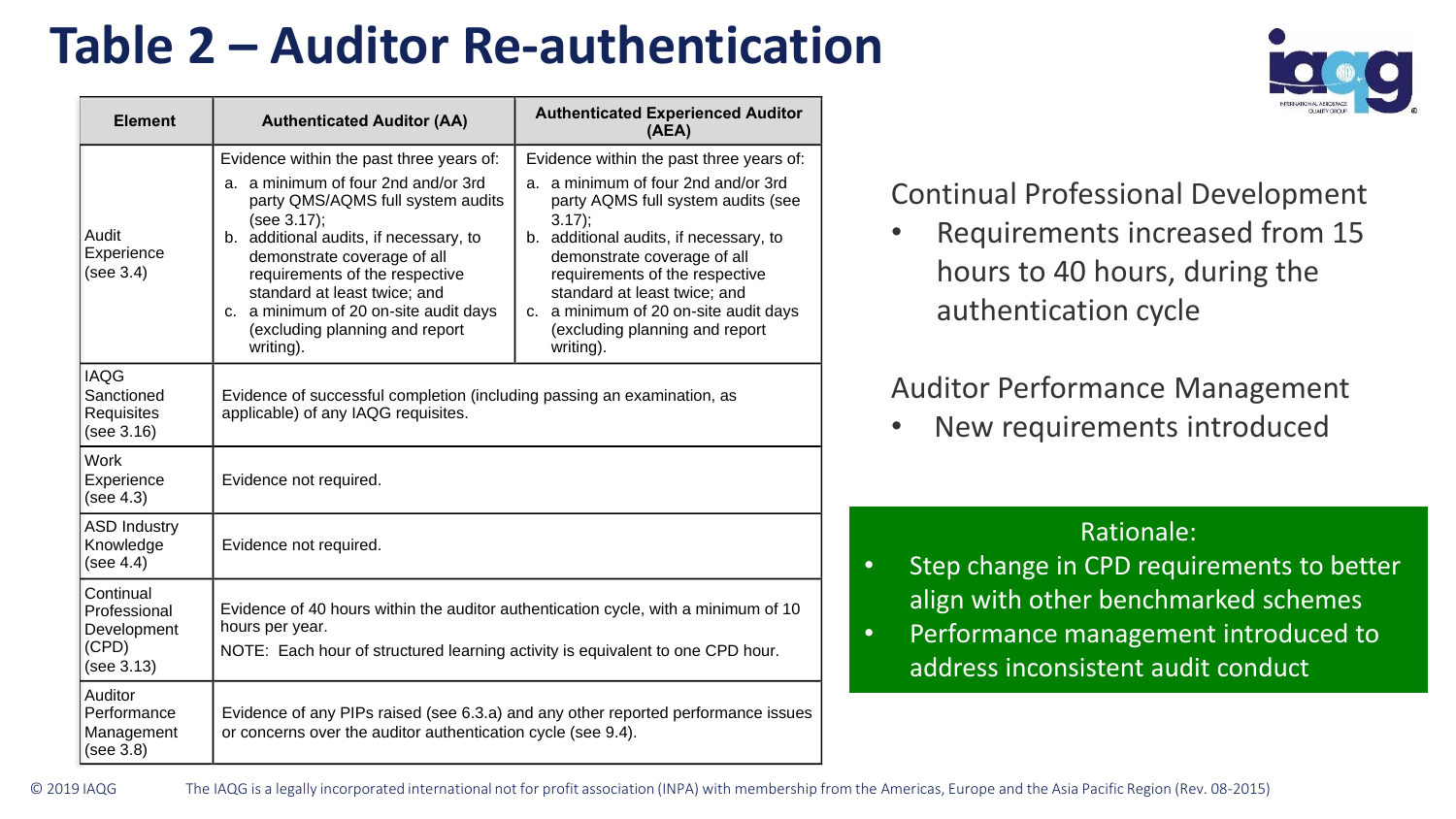# **Table 2 – Auditor Re-authentication**

| <b>Element</b>                                                  | <b>Authenticated Auditor (AA)</b>                                                                                                                                                                                                                                                                                                                                      | <b>Authenticated Experienced Auditor</b><br>(AEA)                                                                                                                                                                                                                                                                                                                    |  |
|-----------------------------------------------------------------|------------------------------------------------------------------------------------------------------------------------------------------------------------------------------------------------------------------------------------------------------------------------------------------------------------------------------------------------------------------------|----------------------------------------------------------------------------------------------------------------------------------------------------------------------------------------------------------------------------------------------------------------------------------------------------------------------------------------------------------------------|--|
| Audit<br>Experience<br>(see 3.4)                                | Evidence within the past three years of:<br>a. a minimum of four 2nd and/or 3rd<br>party QMS/AQMS full system audits<br>(see 3.17);<br>b. additional audits, if necessary, to<br>demonstrate coverage of all<br>requirements of the respective<br>standard at least twice; and<br>c. a minimum of 20 on-site audit days<br>(excluding planning and report<br>writing). | Evidence within the past three years of:<br>a. a minimum of four 2nd and/or 3rd<br>party AQMS full system audits (see<br>$3.17$ :<br>b. additional audits, if necessary, to<br>demonstrate coverage of all<br>requirements of the respective<br>standard at least twice; and<br>c. a minimum of 20 on-site audit days<br>(excluding planning and report<br>writing). |  |
| <b>IAQG</b><br>Sanctioned<br>Requisites<br>(see 3.16)           | Evidence of successful completion (including passing an examination, as<br>applicable) of any IAQG requisites.                                                                                                                                                                                                                                                         |                                                                                                                                                                                                                                                                                                                                                                      |  |
| Work<br>Experience<br>(see 4.3)                                 | Evidence not required.                                                                                                                                                                                                                                                                                                                                                 |                                                                                                                                                                                                                                                                                                                                                                      |  |
| <b>ASD Industry</b><br>Knowledge<br>(see 4.4)                   | Evidence not required.                                                                                                                                                                                                                                                                                                                                                 |                                                                                                                                                                                                                                                                                                                                                                      |  |
| Continual<br>Professional<br>Development<br>(CPD)<br>(see 3.13) | Evidence of 40 hours within the auditor authentication cycle, with a minimum of 10<br>hours per year.<br>NOTE: Each hour of structured learning activity is equivalent to one CPD hour.                                                                                                                                                                                |                                                                                                                                                                                                                                                                                                                                                                      |  |
| Auditor<br>Performance<br>Management<br>(see 3.8)               | Evidence of any PIPs raised (see 6.3.a) and any other reported performance issues<br>or concerns over the auditor authentication cycle (see 9.4).                                                                                                                                                                                                                      |                                                                                                                                                                                                                                                                                                                                                                      |  |



#### Continual Professional Development

• Requirements increased from 15 hours to 40 hours, during the authentication cycle

#### Auditor Performance Management

New requirements introduced

- Step change in CPD requirements to better align with other benchmarked schemes
- Performance management introduced to address inconsistent audit conduct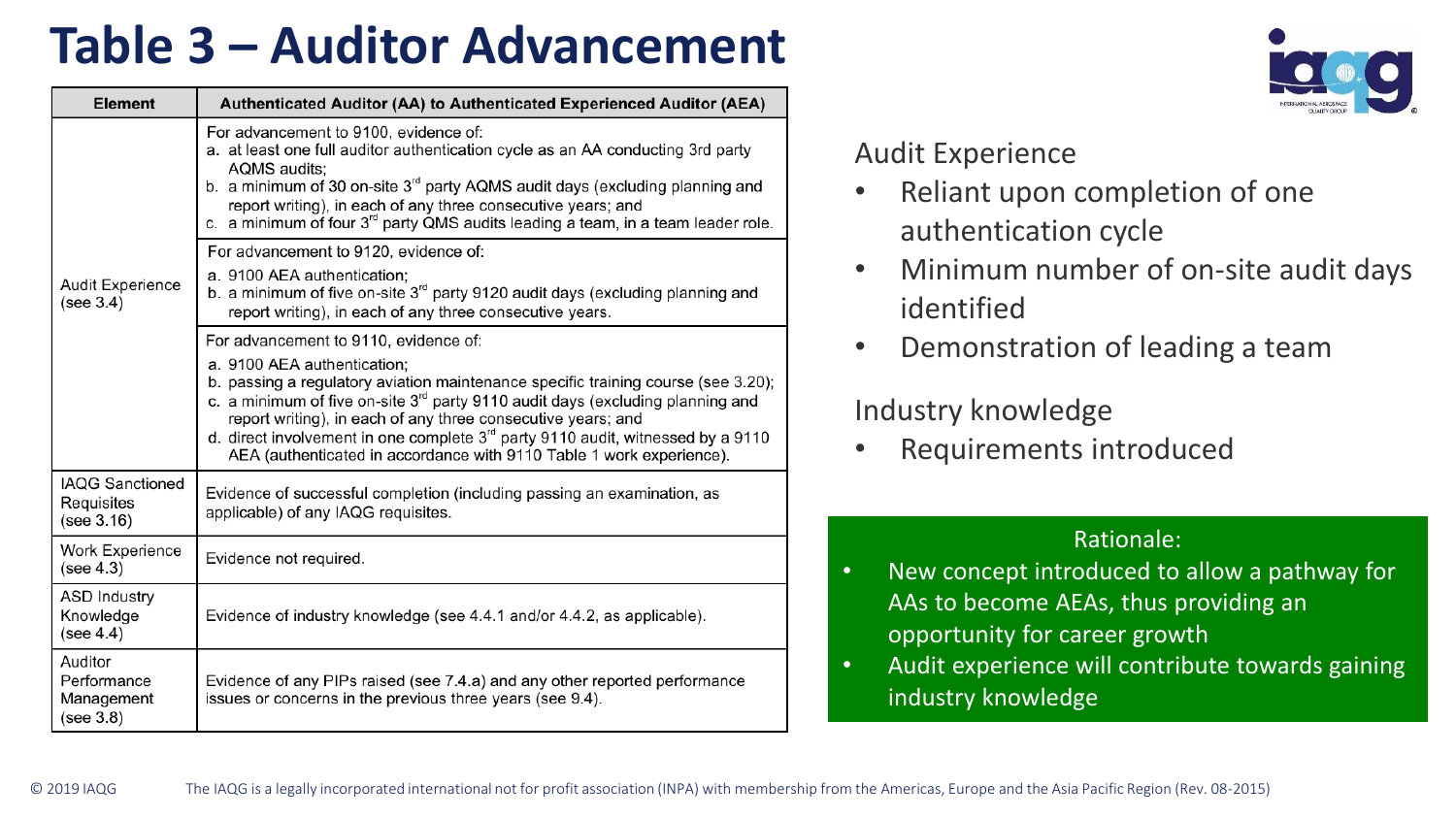### **Table 3 – Auditor Advancement**

| <b>Element</b>                                     | Authenticated Auditor (AA) to Authenticated Experienced Auditor (AEA)                                                                                                                                                                                                                                                                                                                                                             |
|----------------------------------------------------|-----------------------------------------------------------------------------------------------------------------------------------------------------------------------------------------------------------------------------------------------------------------------------------------------------------------------------------------------------------------------------------------------------------------------------------|
|                                                    | For advancement to 9100, evidence of:<br>a. at least one full auditor authentication cycle as an AA conducting 3rd party<br>AQMS audits:<br>b. a minimum of 30 on-site 3 <sup>rd</sup> party AQMS audit days (excluding planning and<br>report writing), in each of any three consecutive years; and<br>c. a minimum of four 3 <sup>rd</sup> party QMS audits leading a team, in a team leader role.                              |
| <b>Audit Experience</b><br>(see 3.4)               | For advancement to 9120, evidence of:<br>a. 9100 AEA authentication;<br>b. a minimum of five on-site $3rd$ party 9120 audit days (excluding planning and<br>report writing), in each of any three consecutive years.                                                                                                                                                                                                              |
|                                                    | For advancement to 9110, evidence of:                                                                                                                                                                                                                                                                                                                                                                                             |
|                                                    | a. 9100 AEA authentication:<br>b. passing a regulatory aviation maintenance specific training course (see 3.20);<br>c. a minimum of five on-site $3rd$ party 9110 audit days (excluding planning and<br>report writing), in each of any three consecutive years; and<br>d. direct involvement in one complete $3rd$ party 9110 audit, witnessed by a 9110<br>AEA (authenticated in accordance with 9110 Table 1 work experience). |
| <b>IAOG Sanctioned</b><br>Requisites<br>(see 3.16) | Evidence of successful completion (including passing an examination, as<br>applicable) of any IAQG requisites.                                                                                                                                                                                                                                                                                                                    |
| <b>Work Experience</b><br>(see 4.3)                | Evidence not required.                                                                                                                                                                                                                                                                                                                                                                                                            |
| <b>ASD Industry</b><br>Knowledge<br>(see 4.4)      | Evidence of industry knowledge (see 4.4.1 and/or 4.4.2, as applicable).                                                                                                                                                                                                                                                                                                                                                           |
| Auditor<br>Performance<br>Management<br>(see 3.8)  | Evidence of any PIPs raised (see 7.4.a) and any other reported performance<br>issues or concerns in the previous three years (see 9.4).                                                                                                                                                                                                                                                                                           |



#### Audit Experience

- Reliant upon completion of one authentication cycle
- Minimum number of on-site audit days identified
- Demonstration of leading a team

#### Industry knowledge

• Requirements introduced

- New concept introduced to allow a pathway for AAs to become AEAs, thus providing an opportunity for career growth
- Audit experience will contribute towards gaining industry knowledge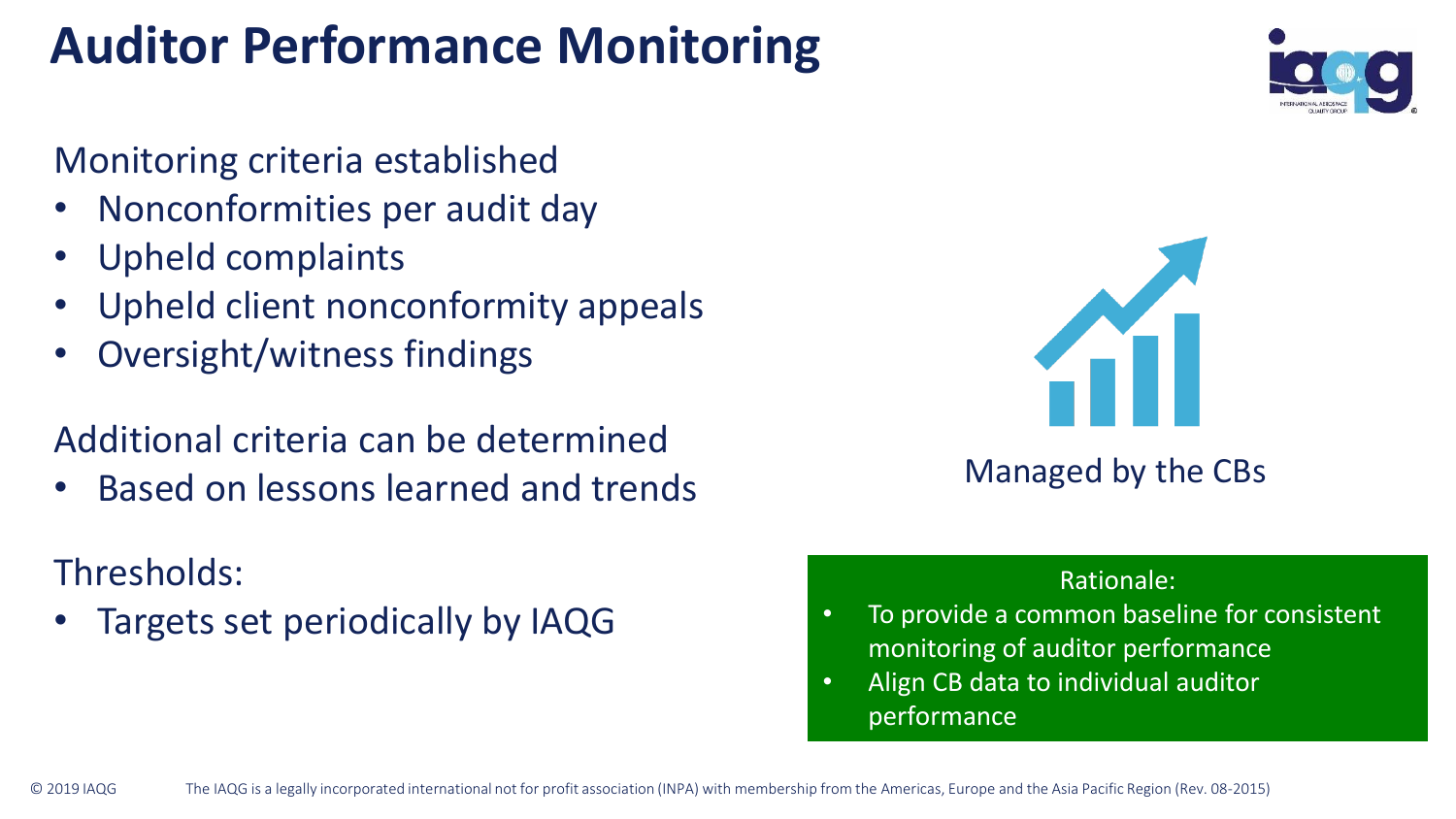# **Auditor Performance Monitoring**

### Monitoring criteria established

- Nonconformities per audit day
- Upheld complaints
- Upheld client nonconformity appeals
- Oversight/witness findings

### Additional criteria can be determined

• Based on lessons learned and trends

### Thresholds:

• Targets set periodically by IAQG





### Managed by the CBs

- To provide a common baseline for consistent monitoring of auditor performance
- Align CB data to individual auditor performance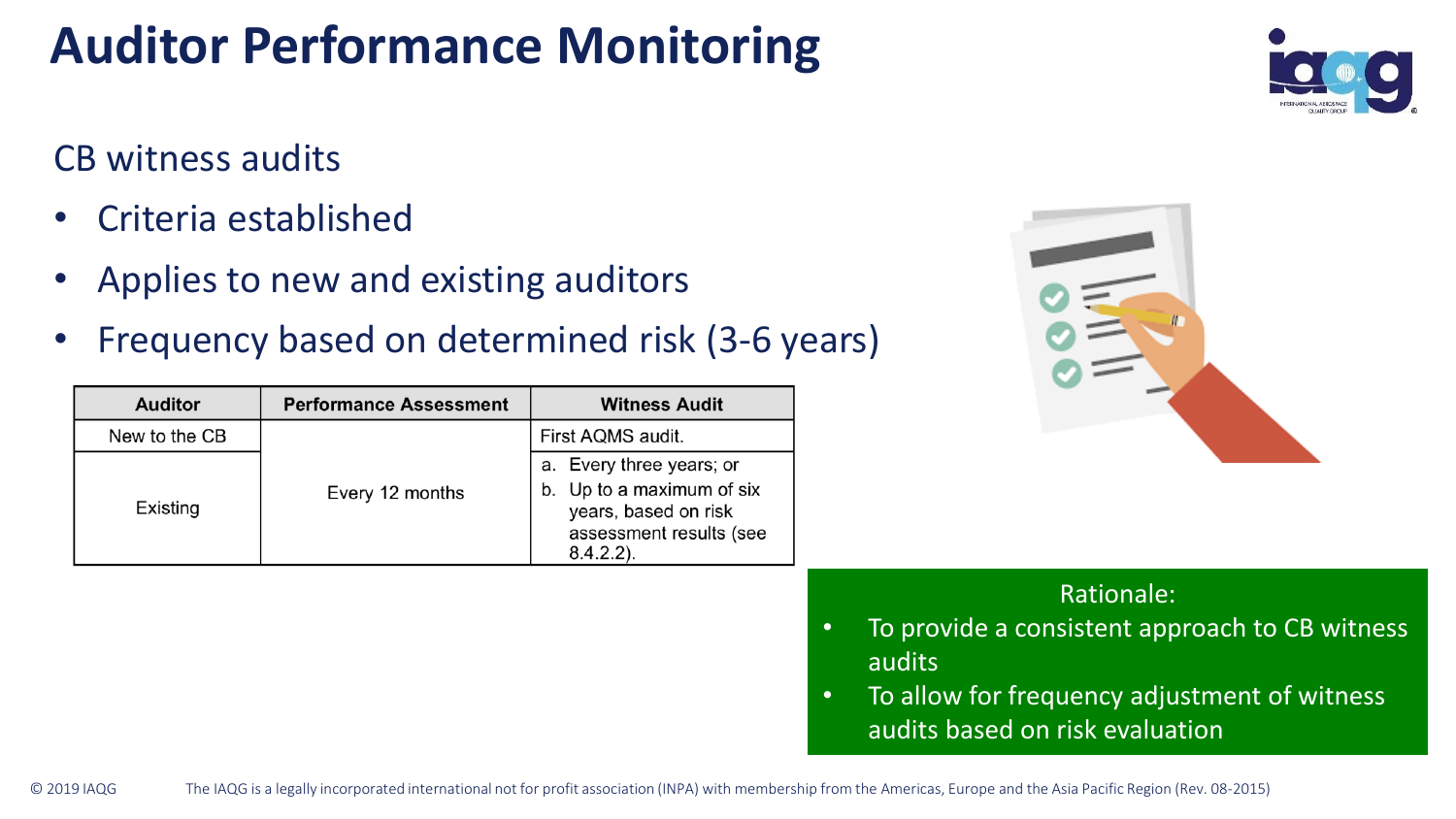# **Auditor Performance Monitoring**

### CB witness audits

- Criteria established
- Applies to new and existing auditors
- Frequency based on determined risk (3-6 years)

| <b>Auditor</b> | <b>Performance Assessment</b> | <b>Witness Audit</b>                                                                                                     |
|----------------|-------------------------------|--------------------------------------------------------------------------------------------------------------------------|
| New to the CB  |                               | First AQMS audit.                                                                                                        |
| Existing       | Every 12 months               | a. Every three years; or<br>b. Up to a maximum of six<br>years, based on risk<br>assessment results (see<br>$8.4.2.2$ ). |





- To provide a consistent approach to CB witness audits
- To allow for frequency adjustment of witness audits based on risk evaluation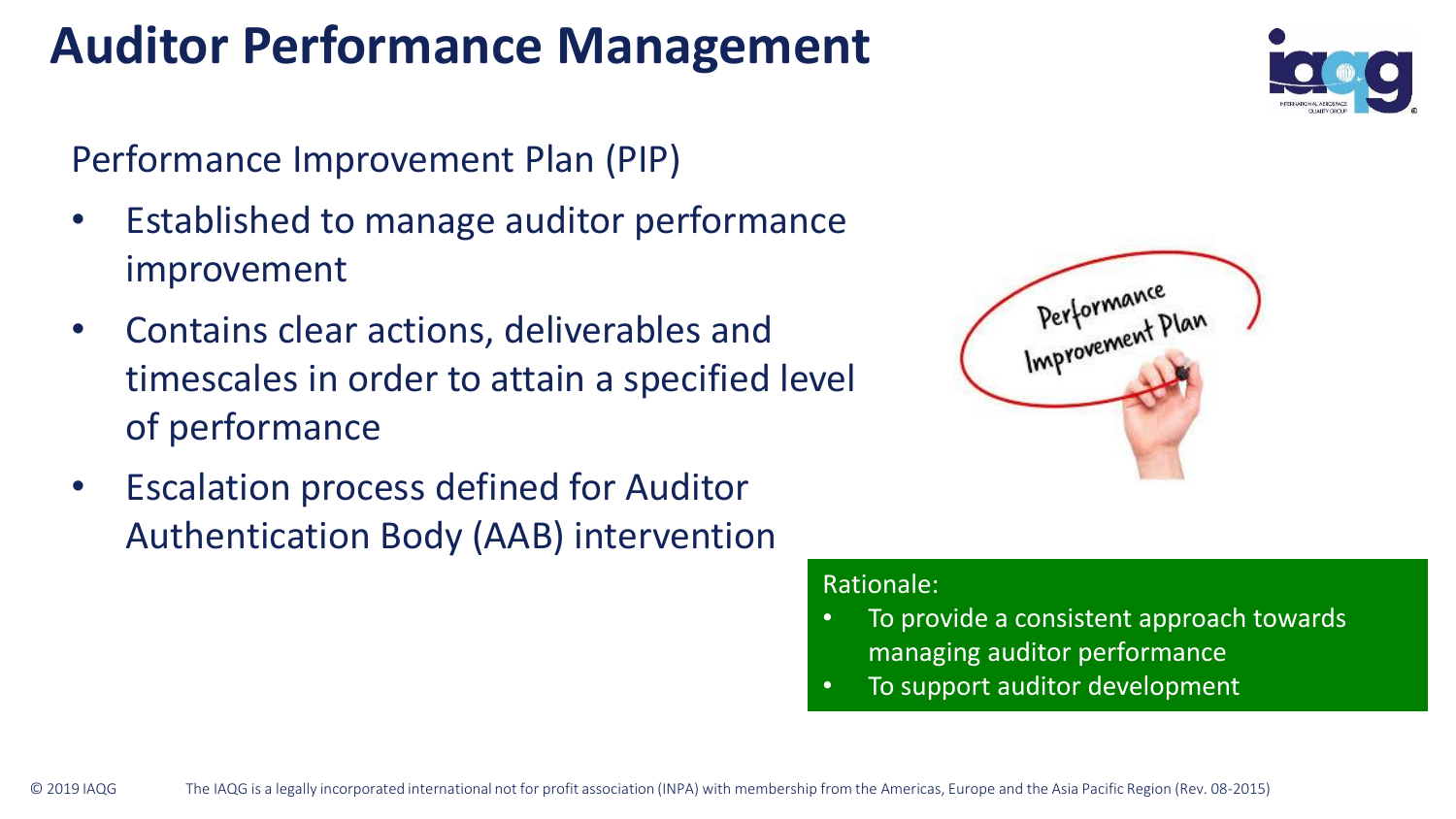### **Auditor Performance Management**

Performance Improvement Plan (PIP)

- Established to manage auditor performance improvement
- Contains clear actions, deliverables and timescales in order to attain a specified level of performance
- Escalation process defined for Auditor Authentication Body (AAB) intervention





- To provide a consistent approach towards managing auditor performance
- To support auditor development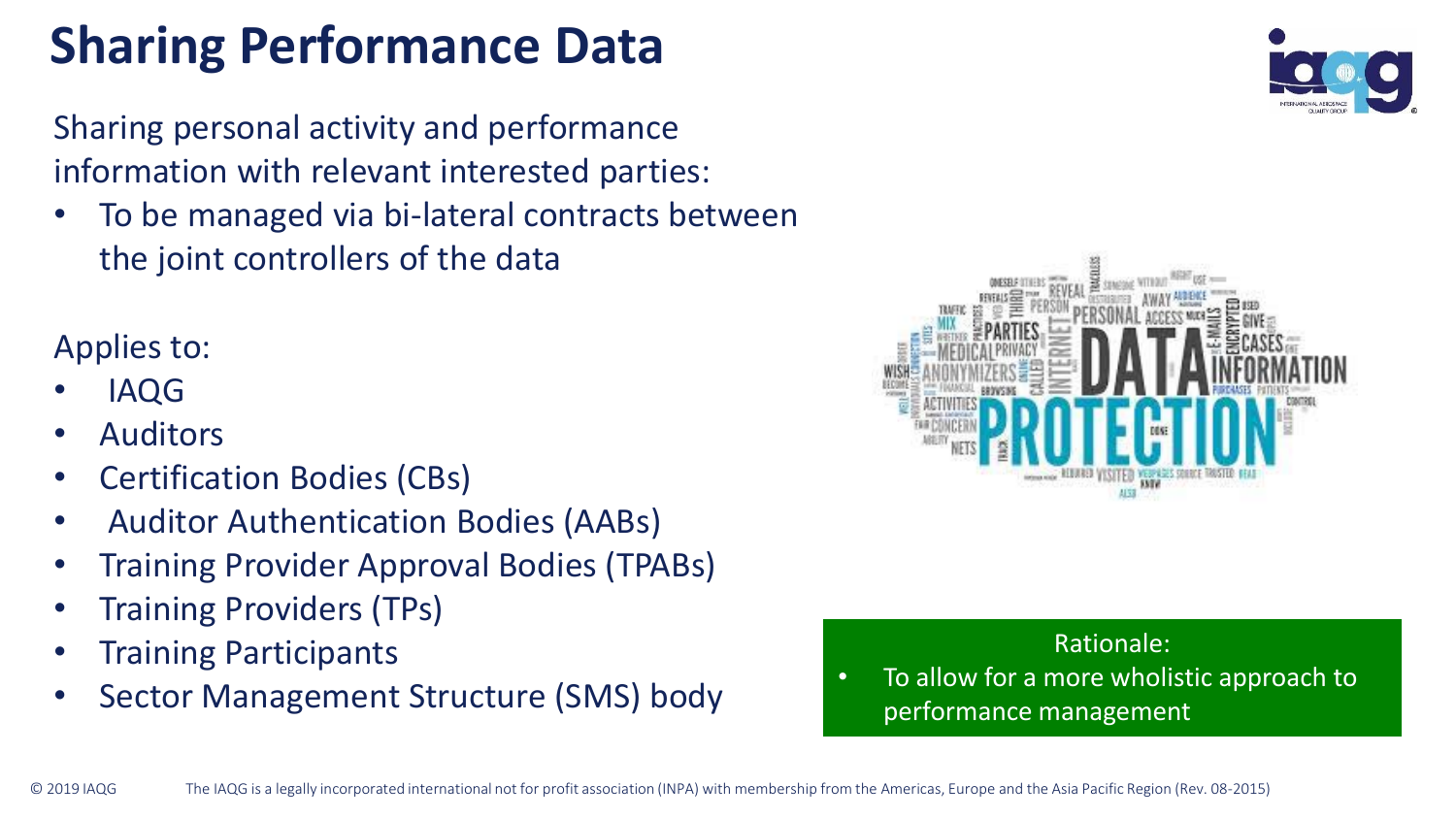# **Sharing Performance Data**

Sharing personal activity and performance information with relevant interested parties:

• To be managed via bi-lateral contracts between the joint controllers of the data

Applies to:

- IAQG
- **Auditors**
- Certification Bodies (CBs)
- Auditor Authentication Bodies (AABs)
- Training Provider Approval Bodies (TPABs)
- Training Providers (TPs)
- Training Participants
- Sector Management Structure (SMS) body





#### Rationale:

• To allow for a more wholistic approach to performance management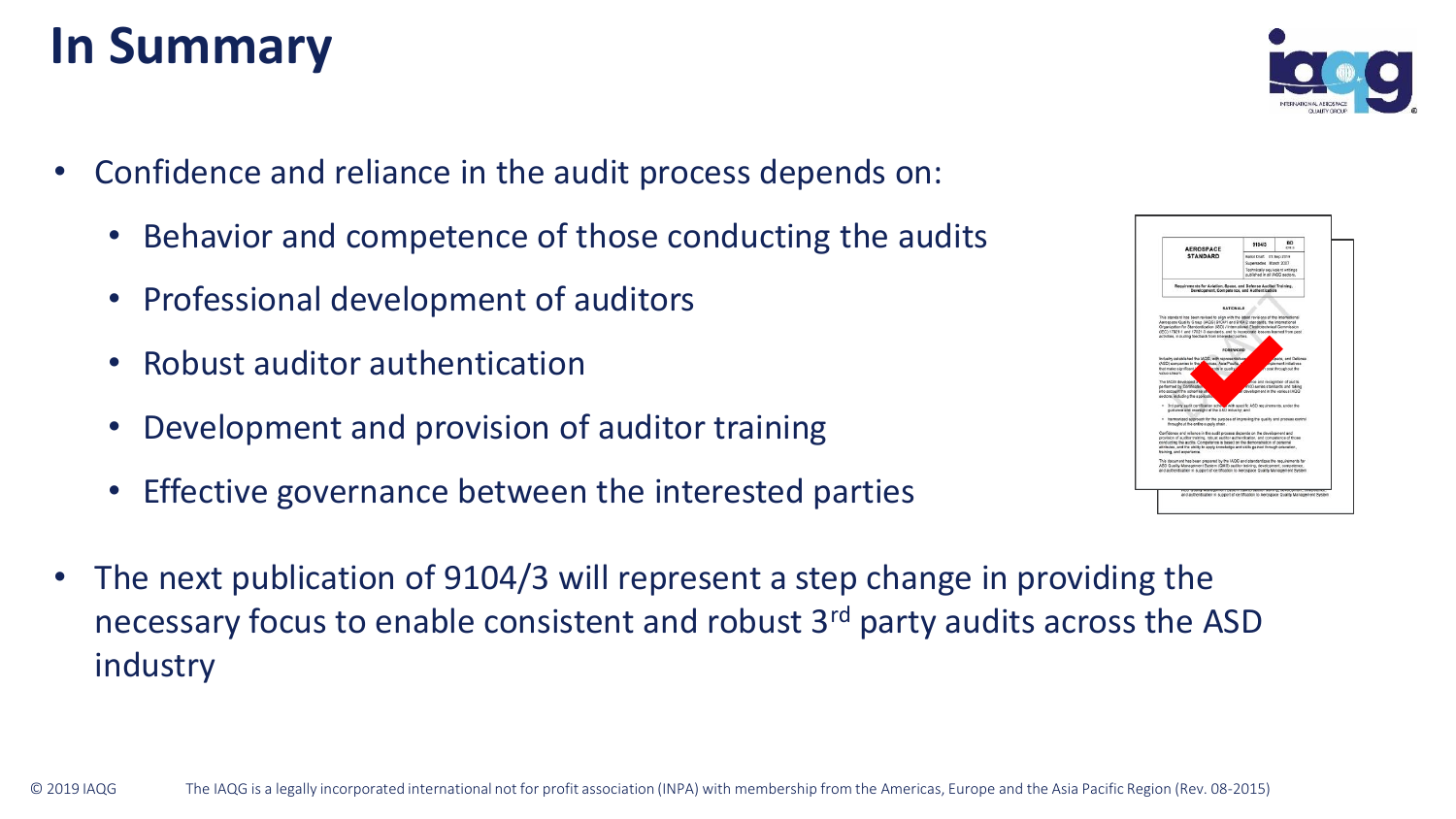### **In Summary**



- Confidence and reliance in the audit process depends on:
	- Behavior and competence of those conducting the audits
	- Professional development of auditors
	- Robust auditor authentication
	- Development and provision of auditor training
	- Effective governance between the interested parties
- The next publication of 9104/3 will represent a step change in providing the necessary focus to enable consistent and robust 3rd party audits across the ASD industry